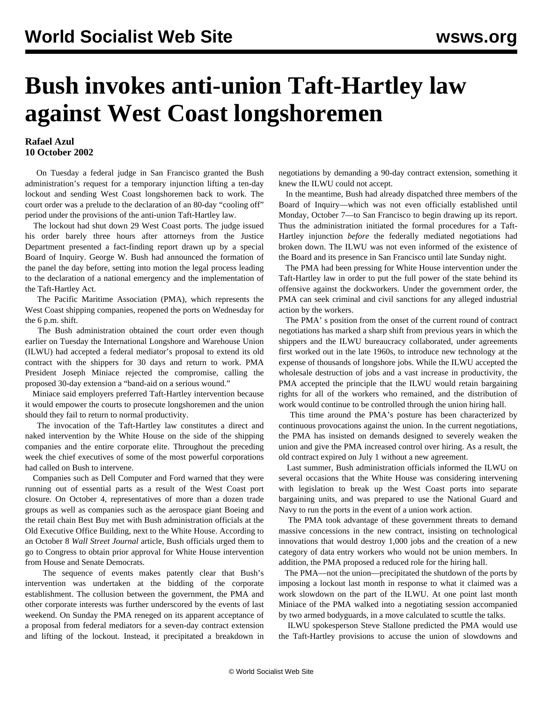## **Bush invokes anti-union Taft-Hartley law against West Coast longshoremen**

## **Rafael Azul 10 October 2002**

 On Tuesday a federal judge in San Francisco granted the Bush administration's request for a temporary injunction lifting a ten-day lockout and sending West Coast longshoremen back to work. The court order was a prelude to the declaration of an 80-day "cooling off" period under the provisions of the anti-union Taft-Hartley law.

 The lockout had shut down 29 West Coast ports. The judge issued his order barely three hours after attorneys from the Justice Department presented a fact-finding report drawn up by a special Board of Inquiry. George W. Bush had announced the formation of the panel the day before, setting into motion the legal process leading to the declaration of a national emergency and the implementation of the Taft-Hartley Act.

 The Pacific Maritime Association (PMA), which represents the West Coast shipping companies, reopened the ports on Wednesday for the 6 p.m. shift.

 The Bush administration obtained the court order even though earlier on Tuesday the International Longshore and Warehouse Union (ILWU) had accepted a federal mediator's proposal to extend its old contract with the shippers for 30 days and return to work. PMA President Joseph Miniace rejected the compromise, calling the proposed 30-day extension a "band-aid on a serious wound."

 Miniace said employers preferred Taft-Hartley intervention because it would empower the courts to prosecute longshoremen and the union should they fail to return to normal productivity.

 The invocation of the Taft-Hartley law constitutes a direct and naked intervention by the White House on the side of the shipping companies and the entire corporate elite. Throughout the preceding week the chief executives of some of the most powerful corporations had called on Bush to intervene.

 Companies such as Dell Computer and Ford warned that they were running out of essential parts as a result of the West Coast port closure. On October 4, representatives of more than a dozen trade groups as well as companies such as the aerospace giant Boeing and the retail chain Best Buy met with Bush administration officials at the Old Executive Office Building, next to the White House. According to an October 8 *Wall Street Journal* article, Bush officials urged them to go to Congress to obtain prior approval for White House intervention from House and Senate Democrats.

 The sequence of events makes patently clear that Bush's intervention was undertaken at the bidding of the corporate establishment. The collusion between the government, the PMA and other corporate interests was further underscored by the events of last weekend. On Sunday the PMA reneged on its apparent acceptance of a proposal from federal mediators for a seven-day contract extension and lifting of the lockout. Instead, it precipitated a breakdown in negotiations by demanding a 90-day contract extension, something it knew the ILWU could not accept.

 In the meantime, Bush had already dispatched three members of the Board of Inquiry—which was not even officially established until Monday, October 7—to San Francisco to begin drawing up its report. Thus the administration initiated the formal procedures for a Taft-Hartley injunction *before* the federally mediated negotiations had broken down. The ILWU was not even informed of the existence of the Board and its presence in San Francisco until late Sunday night.

 The PMA had been pressing for White House intervention under the Taft-Hartley law in order to put the full power of the state behind its offensive against the dockworkers. Under the government order, the PMA can seek criminal and civil sanctions for any alleged industrial action by the workers.

 The PMA' s position from the onset of the current round of contract negotiations has marked a sharp shift from previous years in which the shippers and the ILWU bureaucracy collaborated, under agreements first worked out in the late 1960s, to introduce new technology at the expense of thousands of longshore jobs. While the ILWU accepted the wholesale destruction of jobs and a vast increase in productivity, the PMA accepted the principle that the ILWU would retain bargaining rights for all of the workers who remained, and the distribution of work would continue to be controlled through the union hiring hall.

 This time around the PMA's posture has been characterized by continuous provocations against the union. In the current negotiations, the PMA has insisted on demands designed to severely weaken the union and give the PMA increased control over hiring. As a result, the old contract expired on July 1 without a new agreement.

 Last summer, Bush administration officials informed the ILWU on several occasions that the White House was considering intervening with legislation to break up the West Coast ports into separate bargaining units, and was prepared to use the National Guard and Navy to run the ports in the event of a union work action.

 The PMA took advantage of these government threats to demand massive concessions in the new contract, insisting on technological innovations that would destroy 1,000 jobs and the creation of a new category of data entry workers who would not be union members. In addition, the PMA proposed a reduced role for the hiring hall.

 The PMA—not the union—precipitated the shutdown of the ports by imposing a lockout last month in response to what it claimed was a work slowdown on the part of the ILWU. At one point last month Miniace of the PMA walked into a negotiating session accompanied by two armed bodyguards, in a move calculated to scuttle the talks.

 ILWU spokesperson Steve Stallone predicted the PMA would use the Taft-Hartley provisions to accuse the union of slowdowns and